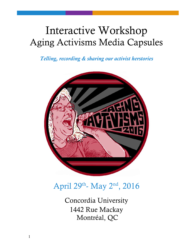# Interactive Workshop Aging Activisms Media Capsules

*Telling, recording & sharing our activist herstories*



April 29<sup>th</sup>- May 2<sup>nd</sup>, 2016

Concordia University 1442 Rue Mackay Montréal, QC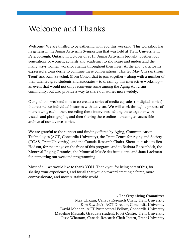### Welcome and Thanks

Welcome! We are thrilled to be gathering with you this weekend! This workshop has its genesis in the Aging Activisms Symposium that was held at Trent University in Peterborough, Ontario in October of 2015. Aging Activisms brought together four generations of women, activists and academic, to showcase and understand the many ways women work for change throughout their lives. At the end, participants expressed a clear desire to continue these conversations. This led May Chazan (from Trent) and Kim Sawchuk (from Concordia) to join together – along with a number of their talented grad students and associates – to dream up this interactive workshop – an event that would not only reconvene some among the Aging Activisms community, but also provide a way to share our stories more widely.

Our goal this weekend to is to co-create a series of media capsules (or digital stories) that record our individual histories with activism. We will work through a process of interviewing each other, recording these interviews, editing these together with visuals and photographs, and then sharing these online – creating an accessible archive of our diverse stories.

We are grateful to the support and funding offered by Aging, Communication, Technologies (ACT, Concordia University), the Trent Centre for Aging and Society (TCAS, Trent University), and the Canada Research Chairs. Shout-outs also to Ben Hodson, for the image on the front of this program, and to Barbara Ratzenböck, the Montreal Raging Grannies, the Montreal Musée des beaux-arts, and Jana Lackman for supporting our weekend programming.

Most of all, we would like to thank YOU. Thank you for being part of this, for sharing your experiences, and for all that you do toward creating a fairer, more compassionate, and more sustainable world.

#### **- The Organizing Committee**

May Chazan, Canada Research Chair, Trent University Kim Sawchuk, ACT Director, Concordia University David Madden, ACT Postdoctoral Fellow, Concordia University Madeline Macnab, Graduate student, Frost Centre, Trent University Jesse Whattam, Canada Research Chair Intern, Trent University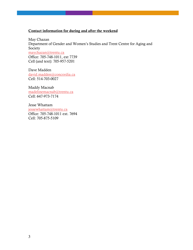#### **Contact information for during and after the weekend**

May Chazan Department of Gender and Women's Studies and Trent Centre for Aging and Society [maychazan@trentu.ca](mailto:maychazan@trentu.ca) Office: 705-748-1011, ext 7739 Cell (and text): 705-957-5201

Dave Madden [david.madden@concordia.ca](mailto:david.madden@concordia.ca) Cell: 514-703-0027

Maddy Macnab [madelinemacnab@trentu.ca](mailto:madelinemacnab@trentu.ca) Cell: 647-973-7174

Jesse Whattam [jessewhattam@trentu.ca](mailto:jessewhattam@trentu.ca) Office: 705-748-1011 ext. 7694 Cell: 705-875-5109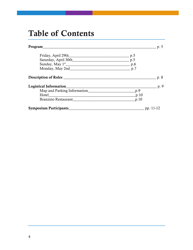## **Table of Contents**

| Program                                                     | p. 5             |  |
|-------------------------------------------------------------|------------------|--|
|                                                             | p.5              |  |
|                                                             |                  |  |
| Sunday, May 1 <sup>st</sup> P.6                             |                  |  |
| Monday, May 2nd p.7                                         |                  |  |
| Description of Roles                                        | p. 8             |  |
| <b>Logistical Information</b>                               | p. 9             |  |
| Map and Parking Information                                 | p.9              |  |
| Hotel<br><u> 1980 - John Stein, Amerikaansk politiker (</u> | $\_p.10$         |  |
| Branzino Restaurant                                         | p.10             |  |
| <b>Symposium Participants</b>                               | $\_\_$ pp. 11-12 |  |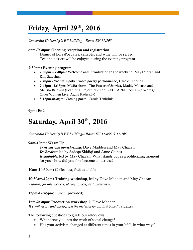### **Friday, April 29th, 2016**

*Concordia University's EV building-- Room EV 11.705*

#### **6pm-7:30pm: Opening reception and registration**

Dinner of hors d'oeuvres, canapés, and wine will be served Tea and dessert will be enjoyed during the evening program

#### **7:30pm: Evening program**

- **7:30pm – 7:40pm: Welcome and introduction to the weekend,** May Chazan and Kim Sawchuk
- **7:40pm -7:45pm: Spoken word poetry performance,** Carole Tenbrink
- **7:45pm - 8:15pm: Media show The Power of Stories,** Maddy Macnab and Melissa Baldwin (Featuring Project Revision, RECCA "In Their Own Words," Older Women Live, Aging Radically)
- **8:15pm-8:30pm: Closing poem,** Carole Tenbrink

**9pm: End**

### **Saturday, April 30th , 2016**

*Concordia University's EV building-- Room EV 11.655 & 11.705*

#### **9am-10am: Warm Up**

*Welcome and housekeeping:* Dave Madden and May Chazan *Ice Breaker*: led by Sadeqa Siddiqi and Anne Caines *Roundtable:* led by May Chazan, What stands out as a politicizing moment for you/ how did you first become an activist?

**10am-10:30am:** Coffee, tea, fruit available

**10:30am**-**12pm: Training workshop**, led by Dave Madden and May Chazan

*Training for interviewers, photographers, and interviewees* 

**12pm-12:45pm:** Lunch (provided)

#### **1pm-2:30pm: Production workshop 1,** Dave Madden

*We will record and photograph the material for our first 6 media capsules.*

The following questions to guide our interviews:

- What drew you into the work of social change?
- Has your activism changed at different times in your life? In what ways?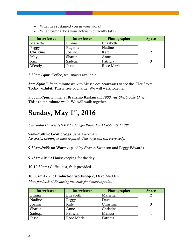- What has sustained you in your work?
- What form/s does your activism currently take?

| Interviewee | Interviewer | Photographer | <b>Space</b> |
|-------------|-------------|--------------|--------------|
| Marietta    | Emma        | Elizabeth    |              |
| Peggy       | Eugenia     | Nadine       |              |
| Christina   | Joanne      | Kate         |              |
| May         | Sharon      | Anne         |              |
| Kim         | Sadeqa      | Patricia     |              |
| Wendy       | Jesse       | Rose Marie   |              |

**2:30pm-3pm:** Coffee, tea, snacks available

**3pm-5pm:** Fifteen-minute walk to Musée des beaux-arts to see the "Her Story Today" exhibit. This is free of charge. We will walk together.

**5:30pm-7pm:** Dinner at **Branzino Restaurant** *1800, rue Sherbrooke Ouest*  This is a ten-minute walk. We will walk together.

### **Sunday, May 1st , 2016**

*Concordia University's EV building-- Room EV 11.655 & 11.705*

**9am-9:30am: Gentle yoga**, Jana Lackman

*No special clothing or mats required. This yoga will suit every body.*

**9:30am**-**9:45am: Warm**‐**up** led by Sharon Swanson and Peggy Edwards

**9:45am-10am: Housekeeping** for the day

**10-10:30am:** Coffee, tea, fruit provided

#### **10:30am**-**12pm: Production workshop 2**, Dave Madden

*More production! Producing materials for 6 more capsules.*

| Interviewee | Interviewer | Photographer | <b>Space</b> |
|-------------|-------------|--------------|--------------|
| Emma        | Elizabeth   | Marietta     |              |
| Nadine      | Peggy       | Dave         |              |
| Joanne      | Kate        | Christina    |              |
| Sharon      | Anne        | Christina    |              |
| Sadega      | Patricia    | Melissa      |              |
| Jesse       | Rose Marie  | Patricia     |              |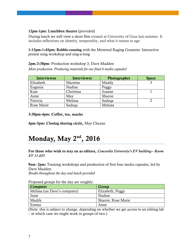#### **12pm**-**1pm: Lunchbox theatre** (provided)

During lunch we will view a short film created at University of Graz last summer. It includes reflections on identity, temporality, and what it means to age.

**1:15pm-1:45pm: Rabble-rousing** with the Montreal Raging Grannies: Interactive protest song workshop and sing-a-long

#### **2pm**-**3:30pm:** Production workshop 3, Dave Madden

*More production. Producing materials for our final 6 media capsules!*

| Interviewee | Interviewer | Photographer | <b>Space</b> |
|-------------|-------------|--------------|--------------|
| Elizabeth   | Marietta    | Maddy        |              |
| Eugenia     | Nadine      | Peggy        |              |
| Kate        | Christina   | Joanne       |              |
| Anne        | May         | Sharon       |              |
| Patricia    | Melissa     | Sadega       |              |
| Rose Marie  | Sadega      | Melissa      |              |

**3:30pm-4pm: Coffee, tea, snacks**

**4pm-5pm: Closing sharing circle,** May Chazan

### **Monday, May 2nd , 2016**

**For those who wish to stay on as editors,** *Concordia University's EV building-- Room EV 11.655*

**9am- 2pm:** Training workshops and production of first four media capsules, led by Dave Madden

*Breaks throughout the day and lunch provided*

#### Proposed groups for the day are roughly:

| <b>Computer</b>              | Group              |
|------------------------------|--------------------|
| Melissa (on Dave's computer) | Elizabeth, Peggy   |
| Jesse                        | Nadine             |
| Maddy                        | Sharon, Rose Marie |
| Emma                         | Anne               |

(Note: this is subject to change, depending on whether we get access to an editing lab – in which case we might work in groups of two.)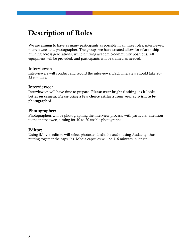### **Description of Roles**

We are aiming to have as many participants as possible in all three roles: interviewer, interviewee, and photographer. The groups we have created allow for relationshipbuilding across generations, while blurring academic-community positions. All equipment will be provided, and participants will be trained as needed.

#### **Interviewer:**

Interviewers will conduct and record the interviews. Each interview should take 20- 25 minutes.

#### **Interviewee:**

Interviewees will have time to prepare. **Please wear bright clothing, as it looks better on camera. Please bring a few choice artifacts from your activism to be photographed.**

#### **Photographer:**

Photographers will be photographing the interview process, with particular attention to the interviewee, aiming for 10 to 20 usable photographs.

#### **Editor:**

Using iMovie, editors will select photos and edit the audio using Audacity, thus putting together the capsules. Media capsules will be 3–6 minutes in length.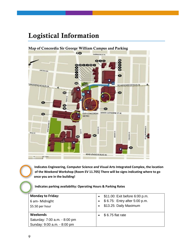### **Logistical Information**

KO **SHERBROOKE ST.W.**  $o$ o $o$ **Bedda** 00000 **LINCOLN AVE** m www.nethe<sup>8776</sup> M<sup>-</sup> DE MAISONNEUVE BLVD.W. 桑  $\bullet$ m  $\bullet$ 80 **CV** SAINTE-CATHERINE ST.W. **GUY-CONCORDIA**  $\mathbf{C}$ **METRO SAVAT-MATHREY ST. MONTAGNEST UNCKAYST IS 40HSR** BAILE ST CRESCENT ST. DELA MO RENÉ-LÉVESQUE BLVD. W.  $\frac{50}{1}$  $\frac{100 \text{ mHz}}{4}$ 

**Map of Concordia Sir George William Campus and Parking**

**Indicates Engineering, Computer Science and Visual Arts Integrated Complex, the location of the Weekend Workshop (Room EV 11.705) There will be signs indicating where to go once you are in the building!**

**Indicates parking availability: Operating Hours & Parking Rates** 

| <b>Monday to Friday:</b><br>6 am-Midnight<br>\$5.50 per hour | \$11.00: Exit before 6:00 p.m.<br>\$6.75: Entry after 5:00 p.m.<br>\$13.25: Daily Maximum |
|--------------------------------------------------------------|-------------------------------------------------------------------------------------------|
| Weekends                                                     | \$6.75 flat rate                                                                          |
| Saturday: 7:00 a.m. - 8:00 pm                                |                                                                                           |
| Sunday: 9:00 a.m. - 8:00 pm                                  |                                                                                           |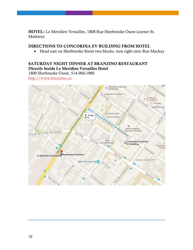**HOTEL:** Le Meridien Versailles, 1808 Rue Sherbrooke Ouest (corner St. Mathieu)

#### **DIRECTIONS TO CONCORDIA EV BUILDING FROM HOTEL**

• Head east on Sherbrooke Street two blocks, turn right onto Rue Mackay

#### **SATURDAY NIGHT DINNER AT BRANZINO RESTAURANT Directly beside Le Meridien Versailles Hotel**

1800 Sherbrooke Ouest, 514-904-1900

[http://www.branzino.ca](http://www.branzino.ca/)

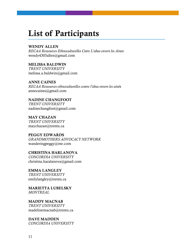### **List of Participants**

#### **WENDY ALLEN**

*RECAA Ressources Ethnoculturelles Cntre L'abus envers les Aine*s wendy4303allen@gmail.com

#### **MELISSA BALDWIN**

*TRENT UNIVERSITY* melissa.a.baldwin@gmail.com

#### **ANNE CAINES**

*RECAA Ressources ethnoculturelles contre l'abus envers les ainé*s annecaines@gmail.com

#### **NADINE CHANGFOOT** *TRENT UNIVERSITY*

nadinechangfoot@gmail.com

**MAY CHAZAN** *TRENT UNIVERSITY* maychazan@trentu.ca

#### **PEGGY EDWARDS** *GRANDMOTHERS ADVOCACY NETWORK* wanderingpeggy@me.com

**CHRISTINA HARLANOVA** *CONCORDIA UNIVERSITY* christina.haralanova@gmail.com

#### **EMMA LANGLEY** *TRENT UNIVERSITY* emilylangley@trentu.ca

**MARIETTA LUBELSKY**

*MONTREAL*

### **MADDY MACNAB**

*TRENT UNIVERSITY* madelinemacnab@trentu.ca

#### **DAVE MADDEN**

*CONCORDIA UNIVERSITY*